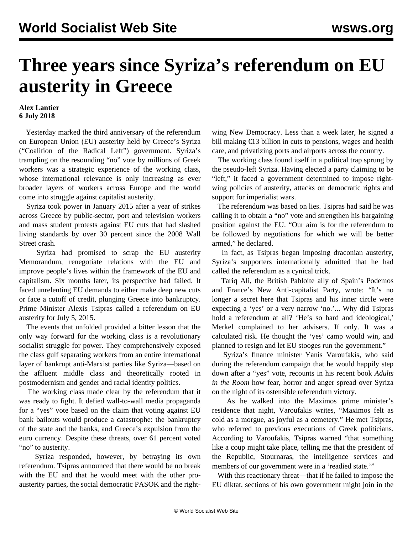## **Three years since Syriza's referendum on EU austerity in Greece**

## **Alex Lantier 6 July 2018**

 Yesterday marked the third anniversary of the referendum on European Union (EU) austerity held by Greece's Syriza ("Coalition of the Radical Left") government. Syriza's trampling on the resounding "no" vote by millions of Greek workers was a strategic experience of the working class, whose international relevance is only increasing as ever broader layers of workers across Europe and the world come into struggle against capitalist austerity.

 Syriza took power in January 2015 after a year of strikes across Greece by public-sector, port and television workers and mass student protests against EU cuts that had slashed living standards by over 30 percent since the 2008 Wall Street crash.

 Syriza had promised to scrap the EU austerity Memorandum, renegotiate relations with the EU and improve people's lives within the framework of the EU and capitalism. Six months later, its perspective had failed. It faced unrelenting EU demands to either make deep new cuts or face a cutoff of credit, plunging Greece into bankruptcy. Prime Minister Alexis Tsipras called a referendum on EU austerity for July 5, 2015.

 The events that unfolded provided a bitter lesson that the only way forward for the working class is a revolutionary socialist struggle for power. They comprehensively exposed the class gulf separating workers from an entire international layer of bankrupt anti-Marxist parties like Syriza—based on the affluent middle class and theoretically rooted in postmodernism and gender and racial identity politics.

 The working class made clear by the referendum that it was ready to fight. It defied wall-to-wall media propaganda for a "yes" vote based on the claim that voting against EU bank bailouts would produce a catastrophe: the bankruptcy of the state and the banks, and Greece's expulsion from the euro currency. Despite these threats, over 61 percent voted "no" to austerity.

 Syriza responded, however, by betraying its own referendum. Tsipras announced that there would be no break with the EU and that he would meet with the other proausterity parties, the social democratic PASOK and the rightwing New Democracy. Less than a week later, he signed a bill making €13 billion in cuts to pensions, wages and health care, and privatizing ports and airports across the country.

 The working class found itself in a political trap sprung by the pseudo-left Syriza. Having elected a party claiming to be "left," it faced a government determined to impose rightwing policies of austerity, attacks on democratic rights and support for imperialist wars.

 The referendum was based on lies. Tsipras had said he was calling it to obtain a "no" vote and strengthen his bargaining position against the EU. "Our aim is for the referendum to be followed by negotiations for which we will be better armed," he declared.

 In fact, as Tsipras began imposing draconian austerity, Syriza's supporters internationally admitted that he had called the referendum as a cynical trick.

 Tariq Ali, the British Pabloite ally of Spain's Podemos and France's New Anti-capitalist Party, wrote: "It's no longer a secret here that Tsipras and his inner circle were expecting a 'yes' or a very narrow 'no.'... Why did Tsipras hold a referendum at all? 'He's so hard and ideological,' Merkel complained to her advisers. If only. It was a calculated risk. He thought the 'yes' camp would win, and planned to resign and let EU stooges run the government."

 Syriza's finance minister Yanis Varoufakis, who said during the referendum campaign that he would happily step down after a "yes" vote, recounts in his recent book *Adults in the Room* how fear, horror and anger spread over Syriza on the night of its ostensible referendum victory.

 As he walked into the Maximos prime minister's residence that night, Varoufakis writes, "Maximos felt as cold as a morgue, as joyful as a cemetery." He met Tsipras, who referred to previous executions of Greek politicians. According to Varoufakis, Tsipras warned "that something like a coup might take place, telling me that the president of the Republic, Stournaras, the intelligence services and members of our government were in a 'readied state.'"

 With this reactionary threat—that if he failed to impose the EU diktat, sections of his own government might join in the